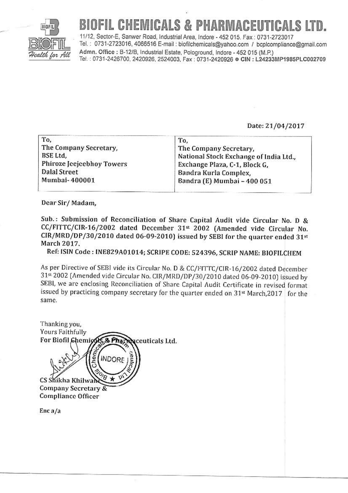

## Z. HARMACEUTICAI

11/12, Sector-E, Sanwer Road, Industrial Area, Indore - 452 015, Fax: 0731-2723017 Tel.: 0731-2723016, 4066516 E-mail: biofilchemicals@yahoo.com / bcplcompliance@gmail.com Admn. Office: B-12/B, Industrial Estate, Pologround, Indore - 452 015 (M.P.) Tel.: 0731-2426700, 2420926, 2524003, Fax: 0731-2420926 @ CIN: L24233MP1985PLC002709

Date: 21/04/2017

| To,                       | To,                                    |
|---------------------------|----------------------------------------|
| The Company Secretary,    | The Company Secretary,                 |
| BSE Ltd,                  | National Stock Exchange of India Ltd., |
| Phiroze Jeejeebhoy Towers | Exchange Plaza, C-1, Block G,          |
| Dalal Street              | Bandra Kurla Complex,                  |
| Mumbai-400001             | Bandra (E) Mumbai - 400 051            |
|                           |                                        |

Dear Sir/Madam,

Sub.: Submission of Reconciliation of Share Capital Audit vide Circular No. D & CC/FITTC/CIR-16/2002 dated December 31st 2002 (Amended vide Circular No. CIR/MRD/DP/30/2010 dated 06-09-2010) issued by SEBI for the quarter ended 31st March 2017.

Ref: ISIN Code: INE829A01014; SCRIPE CODE: 524396, SCRIP NAME: BIOFILCHEM

As per Directive of SEBI vide its Circular No. D & CC/FITTC/CIR-16/2002 dated December 31st 2002 (Amended vide Circular No. CIR/MRD/DP/30/2010 dated 06-09-2010) issued by SEBI, we are enclosing Reconciliation of Share Capital Audit Certificate in revised format issued by practicing company secretary for the quarter ended on 31<sup>st</sup> March, 2017 for the same.

Thanking you, Yours Faithfully For Biofil Chemics & Pha aceuticals Ltd. **INDOR** CS Shikha Khilw Company Secretary & **Compliance Officer** 

 $Enc a/a$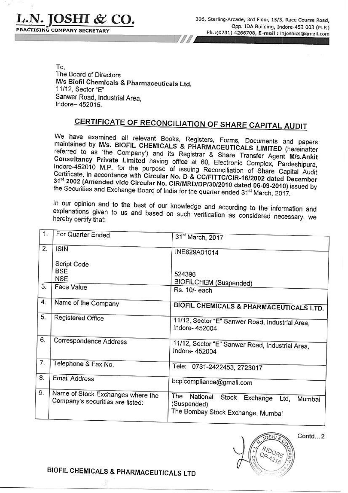

306, Sterling Arcade, 3rd Floor, 15/3, Race Course Road, Opp. IDA Building, Indore-452 003 (M.P.) Ph.: (0731) 4266708, E-mail: Injoshics@gmail.com

To. The Board of Directors M/s Biofil Chemicals & Pharmaceuticals Ltd. 11/12, Sector "E" Sanwer Road, Industrial Area, Indore-452015.

## **CERTIFICATE OF RECONCILIATION OF SHARE CAPITAL AUDIT**

We have examined all relevant Books, Registers, Forms, Documents and papers maintained by M/s. BIOFIL CHEMICALS & PHARMACEUTICALS LIMITED (hereinafter referred to as 'the Company') and its Registrar & Share Transfer Agent M/s.Ankit Consultancy Private Limited having office at 60, Electronic Complex, Pardeshipura, Indore-452010 M.P. for the purpose of issuing Reconciliation of Share Capital Audit Certificate, in accordance with Circular No. D & CC/FITTC/CIR-16/2002 dated December 31st 2002 (Amended vide Circular No. CIR/MRD/DP/30/2010 dated 06-09-2010) issued by the Securities and Exchange Board of India for the quarter ended 31st March, 2017.

In our opinion and to the best of our knowledge and according to the information and explanations given to us and based on such verification as considered necessary, we hereby certify that:

| 1. | For Quarter Ended                                                     | 31 <sup>st</sup> March, 2017                                                                               |  |
|----|-----------------------------------------------------------------------|------------------------------------------------------------------------------------------------------------|--|
| 2. | <b>ISIN</b><br>Script Code                                            | INE829A01014                                                                                               |  |
|    | <b>BSE</b><br><b>NSE</b>                                              | 524396<br><b>BIOFILCHEM</b> (Suspended)                                                                    |  |
| 3. | Face Value                                                            | Rs. 10/- each                                                                                              |  |
| 4. | Name of the Company                                                   | BIOFIL CHEMICALS & PHARMACEUTICALS LTD.                                                                    |  |
| 5. | Registered Office                                                     | 11/12, Sector "E" Sanwer Road, Industrial Area,<br>Indore-452004                                           |  |
| 6. | Correspondence Address                                                | 11/12, Sector "E" Sanwer Road, Industrial Area,<br>Indore-452004                                           |  |
| 7. | Telephone & Fax No.                                                   | Tele: 0731-2422453, 2723017                                                                                |  |
| 8. | Email Address                                                         | bcplcompliance@gmail.com                                                                                   |  |
| 9. | Name of Stock Exchanges where the<br>Company's securities are listed: | The<br>National<br>Stock<br>Exchange<br>Ltd,<br>Mumbai<br>(Suspended)<br>The Bombay Stock Exchange, Mumbai |  |



BIOFIL CHEMICALS & PHARMACEUTICALS LTD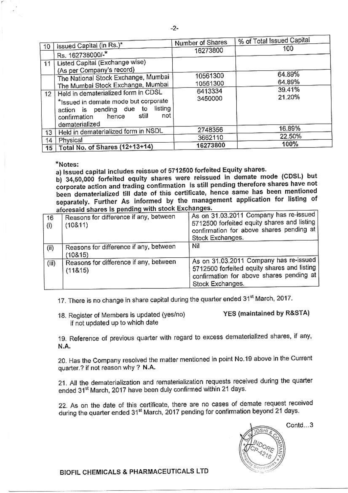| 10 | Issued Capital (in Rs.)*                                                                                                                                                      | Number of Shares     | % of Total Issued Capital |
|----|-------------------------------------------------------------------------------------------------------------------------------------------------------------------------------|----------------------|---------------------------|
|    | Rs. 162738000/*                                                                                                                                                               | 16273800             | 100                       |
| 11 | Listed Capital (Exchange wise)<br>(As per Company's record)                                                                                                                   |                      |                           |
|    | The National Stock Exchange, Mumbai<br>The Mumbai Stock Exchange, Mumbai                                                                                                      | 10561300<br>10561300 | 64.89%<br>64.89%          |
| 12 | Held in dematerialized form in CDSL<br>*Issued in demate mode but corporate<br>listing<br>action is pending due to<br>still<br>not<br>hence<br>confirmation<br>dematerialized | 6413334<br>3450000   | 39.41%<br>21.20%          |
| 13 | Held in dematerialized form in NSDL                                                                                                                                           | 2748356              | 16.89%                    |
| 14 | Physical                                                                                                                                                                      | 3662110              | 22.50%                    |
|    | 15 Total No. of Shares (12+13+14)                                                                                                                                             | 16273800             | 100%                      |

\*Notes:

a) Issued capital includes reissue of 5712500 forfeited Equity shares.

b) 34,50,000 forfeited equity shares were reissued in demate mode (CDSL) but corporate action and trading confirmation is still pending therefore shares have not been dematerialized till date of this certificate, hence same has been mentioned separately. Further As informed by the management application for listing of aforesaid shares is pending with stock Exchanges.

| 16<br>(i) | aloresalu silutes is perfamig mail exer-<br>Reasons for difference if any, between<br>(10811) | As on 31.03.2011 Company has re-issued<br>5712500 forfeited equity shares and listing<br>confirmation for above shares pending at<br>Stock Exchanges. |
|-----------|-----------------------------------------------------------------------------------------------|-------------------------------------------------------------------------------------------------------------------------------------------------------|
| (ii)      | Reasons for difference if any, between<br>(10815)                                             | Nil                                                                                                                                                   |
| (iii)     | Reasons for difference if any, between<br>(11815)                                             | As on 31.03.2011 Company has re-issued<br>5712500 forfeited equity shares and listing<br>confirmation for above shares pending at<br>Stock Exchanges. |

17. There is no change in share capital during the quarter ended 31<sup>st</sup> March, 2017.

YES (maintained by R&STA) 18. Register of Members is updated (yes/no) if not updated up to which date

19. Reference of previous quarter with regard to excess dematerialized shares, if any, N.A.

20. Has the Company resolved the matter mentioned in point No.19 above in the Current quarter.? if not reason why ? N.A.

21. All the dematerialization and rematerialization requests received during the quarter ended 31<sup>st</sup> March, 2017 have been duly confirmed within 21 days.

22. As on the date of this certificate, there are no cases of demate request received during the quarter ended 31<sup>st</sup> March, 2017 pending for confirmation beyond 21 days.



BIOFIL CHEMICALS & PHARMACEUTICALS LTD